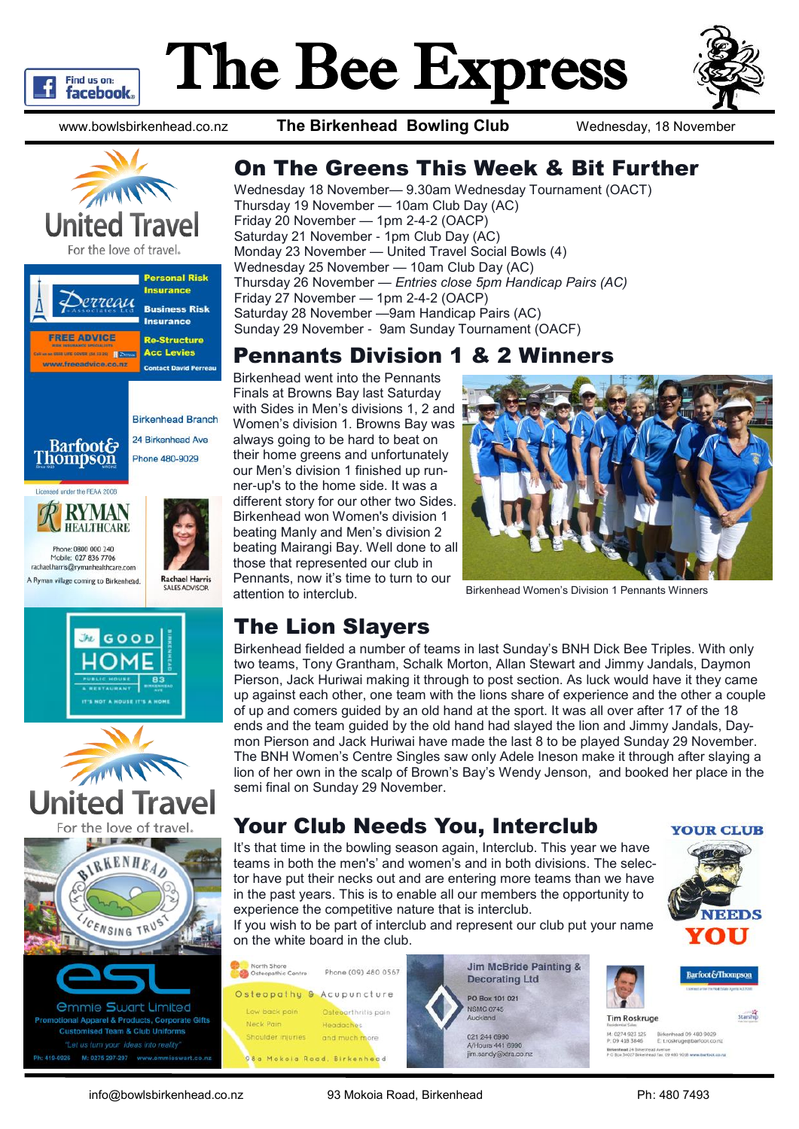

# The Bee Express



www.bowlsbirkenhead.co.nz **The Birkenhead Bowling Club** Wednesday, 18 November







24 Birkenhead Ave











#### On The Greens This Week & Bit Further

Wednesday 18 November— 9.30am Wednesday Tournament (OACT) Thursday 19 November — 10am Club Day (AC) Friday 20 November — 1pm 2-4-2 (OACP) Saturday 21 November - 1pm Club Day (AC) Monday 23 November — United Travel Social Bowls (4) Wednesday 25 November — 10am Club Day (AC) Thursday 26 November — *Entries close 5pm Handicap Pairs (AC)* Friday 27 November — 1pm 2-4-2 (OACP) Saturday 28 November —9am Handicap Pairs (AC) Sunday 29 November - 9am Sunday Tournament (OACF)

#### Pennants Division 1 & 2 Winners

Birkenhead went into the Pennants Finals at Browns Bay last Saturday with Sides in Men's divisions 1, 2 and Women's division 1. Browns Bay was always going to be hard to beat on their home greens and unfortunately our Men's division 1 finished up runner-up's to the home side. It was a different story for our other two Sides. Birkenhead won Women's division 1 beating Manly and Men's division 2 beating Mairangi Bay. Well done to all those that represented our club in Pennants, now it's time to turn to our attention to interclub.



Birkenhead Women's Division 1 Pennants Winners

# The Lion Slayers

Birkenhead fielded a number of teams in last Sunday's BNH Dick Bee Triples. With only two teams, Tony Grantham, Schalk Morton, Allan Stewart and Jimmy Jandals, Daymon Pierson, Jack Huriwai making it through to post section. As luck would have it they came up against each other, one team with the lions share of experience and the other a couple of up and comers guided by an old hand at the sport. It was all over after 17 of the 18 ends and the team guided by the old hand had slayed the lion and Jimmy Jandals, Daymon Pierson and Jack Huriwai have made the last 8 to be played Sunday 29 November. The BNH Women's Centre Singles saw only Adele Ineson make it through after slaying a lion of her own in the scalp of Brown's Bay's Wendy Jenson, and booked her place in the semi final on Sunday 29 November.

## Your Club Needs You, Interclub

It's that time in the bowling season again, Interclub. This year we have teams in both the men's' and women's and in both divisions. The selector have put their necks out and are entering more teams than we have in the past years. This is to enable all our members the opportunity to experience the competitive nature that is interclub.



If you wish to be part of interclub and represent our club put your name on the white board in the club.





Starship

**Tim Roskruge** 

M. 0274 923 125 Birkenhead 09 480 9029<br>P. 09 418 3846 E: troskruge@harfoot.co ead 24 Brice

info@bowlsbirkenhead.co.nz 93 Mokoia Road, Birkenhead Ph: 480 7493